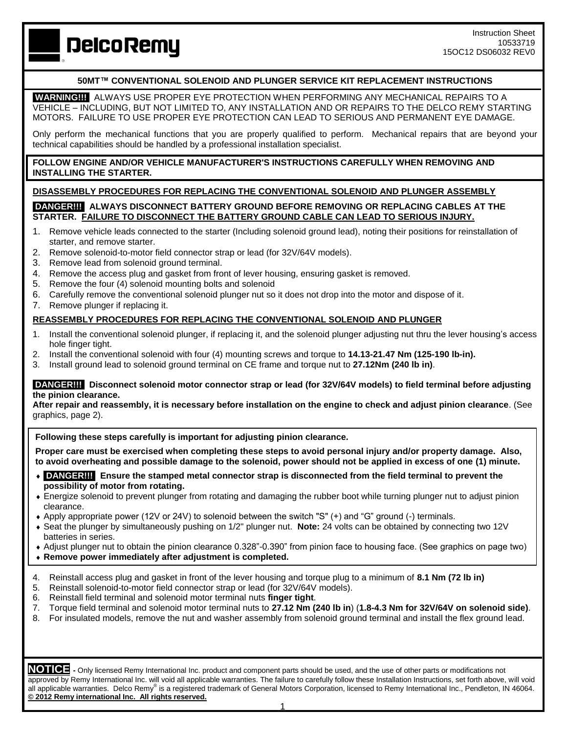# **DelcoRemy**

### **50MT™ CONVENTIONAL SOLENOID AND PLUNGER SERVICE KIT REPLACEMENT INSTRUCTIONS**

 **WARNING!!!** ALWAYS USE PROPER EYE PROTECTION WHEN PERFORMING ANY MECHANICAL REPAIRS TO A VEHICLE – INCLUDING, BUT NOT LIMITED TO, ANY INSTALLATION AND OR REPAIRS TO THE DELCO REMY STARTING MOTORS. FAILURE TO USE PROPER EYE PROTECTION CAN LEAD TO SERIOUS AND PERMANENT EYE DAMAGE.

Only perform the mechanical functions that you are properly qualified to perform. Mechanical repairs that are beyond your technical capabilities should be handled by a professional installation specialist.

### **FOLLOW ENGINE AND/OR VEHICLE MANUFACTURER'S INSTRUCTIONS CAREFULLY WHEN REMOVING AND INSTALLING THE STARTER.**

### **DISASSEMBLY PROCEDURES FOR REPLACING THE CONVENTIONAL SOLENOID AND PLUNGER ASSEMBLY**

### **DANGER!!! ALWAYS DISCONNECT BATTERY GROUND BEFORE REMOVING OR REPLACING CABLES AT THE STARTER. FAILURE TO DISCONNECT THE BATTERY GROUND CABLE CAN LEAD TO SERIOUS INJURY.**

- 1. Remove vehicle leads connected to the starter (Including solenoid ground lead), noting their positions for reinstallation of starter, and remove starter.
- 2. Remove solenoid-to-motor field connector strap or lead (for 32V/64V models).
- 3. Remove lead from solenoid ground terminal.
- 4. Remove the access plug and gasket from front of lever housing, ensuring gasket is removed.
- 5. Remove the four (4) solenoid mounting bolts and solenoid
- 6. Carefully remove the conventional solenoid plunger nut so it does not drop into the motor and dispose of it.
- 7. Remove plunger if replacing it.

## **REASSEMBLY PROCEDURES FOR REPLACING THE CONVENTIONAL SOLENOID AND PLUNGER**

- 1. Install the conventional solenoid plunger, if replacing it, and the solenoid plunger adjusting nut thru the lever housing's access hole finger tight.
- 2. Install the conventional solenoid with four (4) mounting screws and torque to **14.13-21.47 Nm (125-190 lb-in).**
- 3. Install ground lead to solenoid ground terminal on CE frame and torque nut to **27.12Nm (240 lb in)**.

#### **DANGER!!! Disconnect solenoid motor connector strap or lead (for 32V/64V models) to field terminal before adjusting the pinion clearance.**

**After repair and reassembly, it is necessary before installation on the engine to check and adjust pinion clearance**. (See graphics, page 2).

**Following these steps carefully is important for adjusting pinion clearance.**

**Proper care must be exercised when completing these steps to avoid personal injury and/or property damage. Also, to avoid overheating and possible damage to the solenoid, power should not be applied in excess of one (1) minute.**

- **DANGER!!! Ensure the stamped metal connector strap is disconnected from the field terminal to prevent the possibility of motor from rotating.**
- Energize solenoid to prevent plunger from rotating and damaging the rubber boot while turning plunger nut to adjust pinion clearance.
- Apply appropriate power (12V or 24V) to solenoid between the switch "S" (+) and "G" ground (-) terminals.
- Seat the plunger by simultaneously pushing on 1/2" plunger nut. **Note:** 24 volts can be obtained by connecting two 12V batteries in series.
- Adjust plunger nut to obtain the pinion clearance 0.328"-0.390" from pinion face to housing face. (See graphics on page two)
- **Remove power immediately after adjustment is completed.**
- 4. Reinstall access plug and gasket in front of the lever housing and torque plug to a minimum of **8.1 Nm (72 lb in)**
- 5. Reinstall solenoid-to-motor field connector strap or lead (for 32V/64V models).
- 6. Reinstall field terminal and solenoid motor terminal nuts **finger tight**.
- 7. Torque field terminal and solenoid motor terminal nuts to **27.12 Nm (240 lb in**) (**1.8-4.3 Nm for 32V/64V on solenoid side)**.
- 8. For insulated models, remove the nut and washer assembly from solenoid ground terminal and install the flex ground lead.

**NOTICE -** Only licensed Remy International Inc. product and component parts should be used, and the use of other parts or modifications not approved by Remy International Inc. will void all applicable warranties. The failure to carefully follow these Installation Instructions, set forth above, will void all applicable warranties. Delco Remy® is a registered trademark of General Motors Corporation, licensed to Remy International Inc., Pendleton, IN 46064. **© 2012 Remy international Inc. All rights reserved.**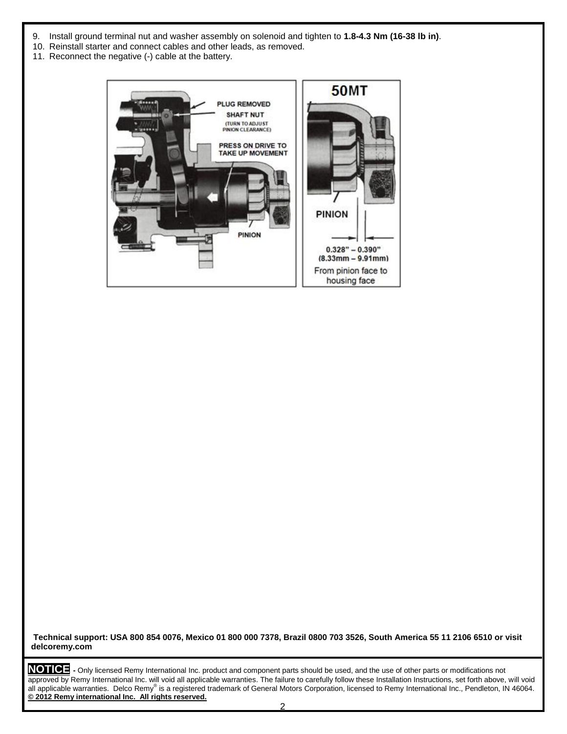- 9. Install ground terminal nut and washer assembly on solenoid and tighten to **1.8-4.3 Nm (16-38 lb in)**.
- 10. Reinstall starter and connect cables and other leads, as removed.
- 11. Reconnect the negative (-) cable at the battery.



**Technical support: USA 800 854 0076, Mexico 01 800 000 7378, Brazil 0800 703 3526, South America 55 11 2106 6510 or visit delcoremy.com**

**NOTICE -** Only licensed Remy International Inc. product and component parts should be used, and the use of other parts or modifications not approved by Remy International Inc. will void all applicable warranties. The failure to carefully follow these Installation Instructions, set forth above, will void all applicable warranties. Delco Remy® is a registered trademark of General Motors Corporation, licensed to Remy International Inc., Pendleton, IN 46064. **© 2012 Remy international Inc. All rights reserved.**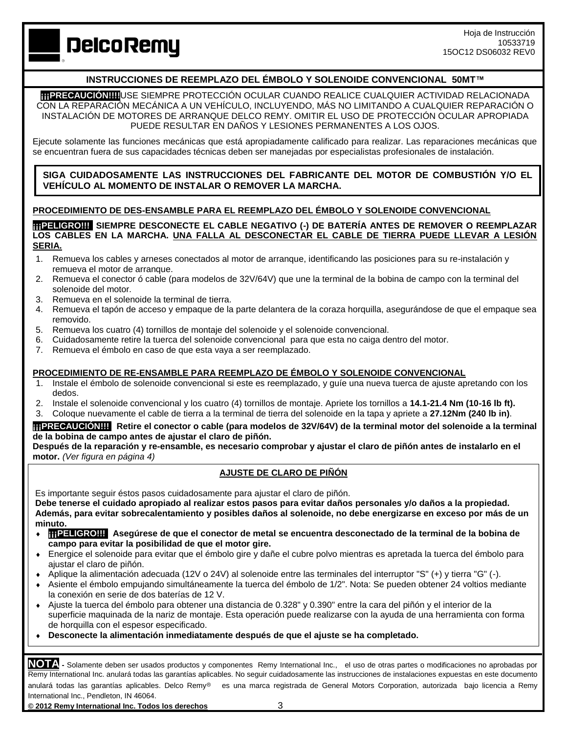# **DelcoRemy**

## **INSTRUCCIONES DE REEMPLAZO DEL ÉMBOLO Y SOLENOIDE CONVENCIONAL 50MT™**

**¡¡¡PRECAUCIÓN!!!!**USE SIEMPRE PROTECCIÓN OCULAR CUANDO REALICE CUALQUIER ACTIVIDAD RELACIONADA CON LA REPARACIÓN MECÁNICA A UN VEHÍCULO, INCLUYENDO, MÁS NO LIMITANDO A CUALQUIER REPARACIÓN O INSTALACIÓN DE MOTORES DE ARRANQUE DELCO REMY. OMITIR EL USO DE PROTECCIÓN OCULAR APROPIADA PUEDE RESULTAR EN DAÑOS Y LESIONES PERMANENTES A LOS OJOS.

Ejecute solamente las funciones mecánicas que está apropiadamente calificado para realizar. Las reparaciones mecánicas que se encuentran fuera de sus capacidades técnicas deben ser manejadas por especialistas profesionales de instalación.

**SIGA CUIDADOSAMENTE LAS INSTRUCCIONES DEL FABRICANTE DEL MOTOR DE COMBUSTIÓN Y/O EL VEHÍCULO AL MOMENTO DE INSTALAR O REMOVER LA MARCHA.**

## **PROCEDIMIENTO DE DES-ENSAMBLE PARA EL REEMPLAZO DEL ÉMBOLO Y SOLENOIDE CONVENCIONAL**

**¡¡¡PELIGRO!!! SIEMPRE DESCONECTE EL CABLE NEGATIVO (-) DE BATERÍA ANTES DE REMOVER O REEMPLAZAR LOS CABLES EN LA MARCHA. UNA FALLA AL DESCONECTAR EL CABLE DE TIERRA PUEDE LLEVAR A LESIÓN SERIA.**

- 1. Remueva los cables y arneses conectados al motor de arranque, identificando las posiciones para su re-instalación y remueva el motor de arranque.
- 2. Remueva el conector ó cable (para modelos de 32V/64V) que une la terminal de la bobina de campo con la terminal del solenoide del motor.
- 3. Remueva en el solenoide la terminal de tierra.
- 4. Remueva el tapón de acceso y empaque de la parte delantera de la coraza horquilla, asegurándose de que el empaque sea removido.
- 5. Remueva los cuatro (4) tornillos de montaje del solenoide y el solenoide convencional.
- 6. Cuidadosamente retire la tuerca del solenoide convencional para que esta no caiga dentro del motor.
- 7. Remueva el émbolo en caso de que esta vaya a ser reemplazado.

### **PROCEDIMIENTO DE RE-ENSAMBLE PARA REEMPLAZO DE ÉMBOLO Y SOLENOIDE CONVENCIONAL**

- 1. Instale el émbolo de solenoide convencional si este es reemplazado, y guíe una nueva tuerca de ajuste apretando con los dedos.
- 2. Instale el solenoide convencional y los cuatro (4) tornillos de montaje. Apriete los tornillos a **14.1-21.4 Nm (10-16 lb ft).**
- 3. Coloque nuevamente el cable de tierra a la terminal de tierra del solenoide en la tapa y apriete a **27.12Nm (240 lb in)**.

#### **¡¡¡PRECAUCIÓN!!! Retire el conector o cable (para modelos de 32V/64V) de la terminal motor del solenoide a la terminal de la bobina de campo antes de ajustar el claro de piñón.**

**Después de la reparación y re-ensamble, es necesario comprobar y ajustar el claro de piñón antes de instalarlo en el motor.** *(Ver figura en página 4)*

### **AJUSTE DE CLARO DE PIÑÓN**

Es importante seguir éstos pasos cuidadosamente para ajustar el claro de piñón.

**Debe tenerse el cuidado apropiado al realizar estos pasos para evitar daños personales y/o daños a la propiedad. Además, para evitar sobrecalentamiento y posibles daños al solenoide, no debe energizarse en exceso por más de un minuto.**

- **◆ TTPELIGRO!!!** Asegúrese de que el conector de metal se encuentra desconectado de la terminal de la bobina de **campo para evitar la posibilidad de que el motor gire.**
- Energice el solenoide para evitar que el émbolo gire y dañe el cubre polvo mientras es apretada la tuerca del émbolo para ajustar el claro de piñón.
- Aplique la alimentación adecuada (12V o 24V) al solenoide entre las terminales del interruptor "S" (+) y tierra "G" (-).
- Asiente el émbolo empujando simultáneamente la tuerca del émbolo de 1/2". Nota: Se pueden obtener 24 voltios mediante la conexión en serie de dos baterías de 12 V.
- Ajuste la tuerca del émbolo para obtener una distancia de 0.328" y 0.390" entre la cara del piñón y el interior de la superficie maquinada de la nariz de montaje. Esta operación puede realizarse con la ayuda de una herramienta con forma de horquilla con el espesor especificado.
- **Desconecte la alimentación inmediatamente después de que el ajuste se ha completado.**

**NOTA -** Solamente deben ser usados productos y componentes Remy International Inc., el uso de otras partes o modificaciones no aprobadas por Remy International Inc. anulará todas las garantías aplicables. No seguir cuidadosamente las instrucciones de instalaciones expuestas en este documento anulará todas las garantías aplicables. Delco Remv<sup>®</sup> es una marca registrada de General Motors Corporation, autorizada bajo licencia a Remy International Inc., Pendleton, IN 46064.

**© 2012 Remy International Inc. Todos los derechos** 3